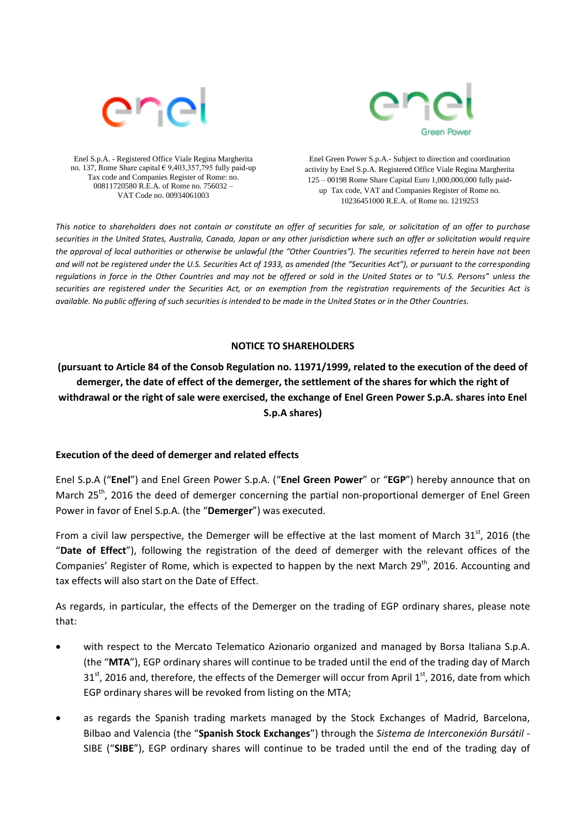



Enel S.p.A. - Registered Office Viale Regina Margherita no. 137, Rome Share capital € 9,403,357,795 fully paid-up Tax code and Companies Register of Rome: no. 00811720580 R.E.A. of Rome no. 756032 – VAT Code no. 00934061003

Enel Green Power S.p.A.- Subject to direction and coordination activity by Enel S.p.A. Registered Office Viale Regina Margherita 125 – 00198 Rome Share Capital Euro 1,000,000,000 fully paidup Tax code, VAT and Companies Register of Rome no. 10236451000 R.E.A. of Rome no. 1219253

*This notice to shareholders does not contain or constitute an offer of securities for sale, or solicitation of an offer to purchase securities in the United States, Australia, Canada, Japan or any other jurisdiction where such an offer or solicitation would require the approval of local authorities or otherwise be unlawful (the "Other Countries"). The securities referred to herein have not been and will not be registered under the U.S. Securities Act of 1933, as amended (the "Securities Act"), or pursuant to the corresponding regulations in force in the Other Countries and may not be offered or sold in the United States or to "U.S. Persons" unless the securities are registered under the Securities Act, or an exemption from the registration requirements of the Securities Act is available. No public offering of such securities is intended to be made in the United States or in the Other Countries.*

### **NOTICE TO SHAREHOLDERS**

**(pursuant to Article 84 of the Consob Regulation no. 11971/1999, related to the execution of the deed of demerger, the date of effect of the demerger, the settlement of the shares for which the right of withdrawal or the right of sale were exercised, the exchange of Enel Green Power S.p.A. shares into Enel S.p.A shares)**

### **Execution of the deed of demerger and related effects**

Enel S.p.A ("**Enel**") and Enel Green Power S.p.A. ("**Enel Green Power**" or "**EGP**") hereby announce that on March 25<sup>th</sup>, 2016 the deed of demerger concerning the partial non-proportional demerger of Enel Green Power in favor of Enel S.p.A. (the "**Demerger**") was executed.

From a civil law perspective, the Demerger will be effective at the last moment of March  $31<sup>st</sup>$ , 2016 (the "**Date of Effect**"), following the registration of the deed of demerger with the relevant offices of the Companies' Register of Rome, which is expected to happen by the next March 29<sup>th</sup>, 2016. Accounting and tax effects will also start on the Date of Effect.

As regards, in particular, the effects of the Demerger on the trading of EGP ordinary shares, please note that:

- with respect to the Mercato Telematico Azionario organized and managed by Borsa Italiana S.p.A. (the "**MTA**"), EGP ordinary shares will continue to be traded until the end of the trading day of March  $31<sup>st</sup>$ , 2016 and, therefore, the effects of the Demerger will occur from April  $1<sup>st</sup>$ , 2016, date from which EGP ordinary shares will be revoked from listing on the MTA;
- as regards the Spanish trading markets managed by the Stock Exchanges of Madrid, Barcelona, Bilbao and Valencia (the "**Spanish Stock Exchanges**") through the *Sistema de Interconexión Bursátil* - SIBE ("**SIBE**"), EGP ordinary shares will continue to be traded until the end of the trading day of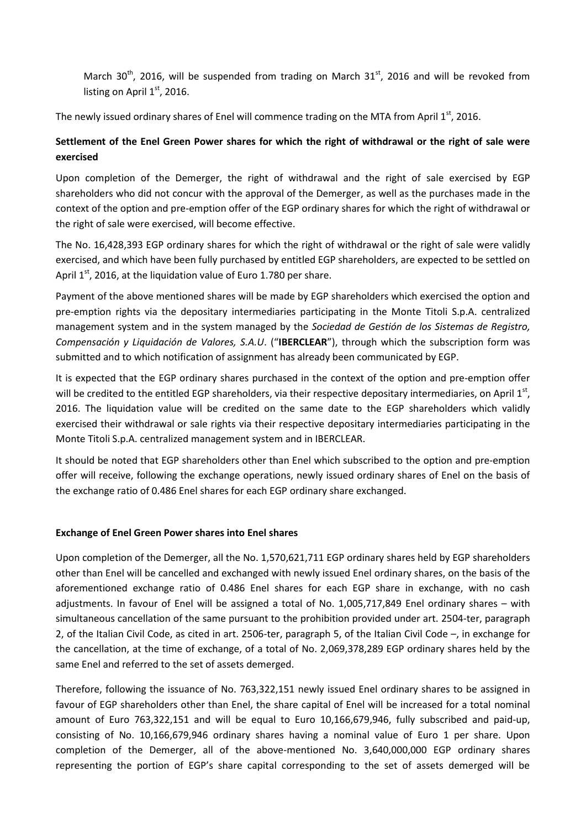March 30<sup>th</sup>, 2016, will be suspended from trading on March 31<sup>st</sup>, 2016 and will be revoked from listing on April  $1<sup>st</sup>$ , 2016.

The newly issued ordinary shares of Enel will commence trading on the MTA from April  $1<sup>st</sup>$ , 2016.

## **Settlement of the Enel Green Power shares for which the right of withdrawal or the right of sale were exercised**

Upon completion of the Demerger, the right of withdrawal and the right of sale exercised by EGP shareholders who did not concur with the approval of the Demerger, as well as the purchases made in the context of the option and pre-emption offer of the EGP ordinary shares for which the right of withdrawal or the right of sale were exercised, will become effective.

The No. 16,428,393 EGP ordinary shares for which the right of withdrawal or the right of sale were validly exercised, and which have been fully purchased by entitled EGP shareholders, are expected to be settled on April  $1<sup>st</sup>$ , 2016, at the liquidation value of Euro 1.780 per share.

Payment of the above mentioned shares will be made by EGP shareholders which exercised the option and pre-emption rights via the depositary intermediaries participating in the Monte Titoli S.p.A. centralized management system and in the system managed by the *Sociedad de Gestión de los Sistemas de Registro, Compensación y Liquidación de Valores, S.A.U*. ("**IBERCLEAR**"), through which the subscription form was submitted and to which notification of assignment has already been communicated by EGP.

It is expected that the EGP ordinary shares purchased in the context of the option and pre-emption offer will be credited to the entitled EGP shareholders, via their respective depositary intermediaries, on April  $1^{st}$ , 2016. The liquidation value will be credited on the same date to the EGP shareholders which validly exercised their withdrawal or sale rights via their respective depositary intermediaries participating in the Monte Titoli S.p.A. centralized management system and in IBERCLEAR.

It should be noted that EGP shareholders other than Enel which subscribed to the option and pre-emption offer will receive, following the exchange operations, newly issued ordinary shares of Enel on the basis of the exchange ratio of 0.486 Enel shares for each EGP ordinary share exchanged.

### **Exchange of Enel Green Power shares into Enel shares**

Upon completion of the Demerger, all the No. 1,570,621,711 EGP ordinary shares held by EGP shareholders other than Enel will be cancelled and exchanged with newly issued Enel ordinary shares, on the basis of the aforementioned exchange ratio of 0.486 Enel shares for each EGP share in exchange, with no cash adjustments. In favour of Enel will be assigned a total of No. 1,005,717,849 Enel ordinary shares – with simultaneous cancellation of the same pursuant to the prohibition provided under art. 2504-ter, paragraph 2, of the Italian Civil Code, as cited in art. 2506-ter, paragraph 5, of the Italian Civil Code –, in exchange for the cancellation, at the time of exchange, of a total of No. 2,069,378,289 EGP ordinary shares held by the same Enel and referred to the set of assets demerged.

Therefore, following the issuance of No. 763,322,151 newly issued Enel ordinary shares to be assigned in favour of EGP shareholders other than Enel, the share capital of Enel will be increased for a total nominal amount of Euro 763,322,151 and will be equal to Euro 10,166,679,946, fully subscribed and paid-up, consisting of No. 10,166,679,946 ordinary shares having a nominal value of Euro 1 per share. Upon completion of the Demerger, all of the above-mentioned No. 3,640,000,000 EGP ordinary shares representing the portion of EGP's share capital corresponding to the set of assets demerged will be